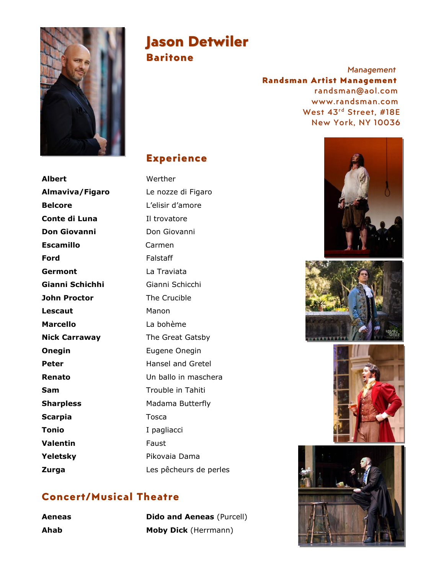

# **Jason Detwiler**

**Baritone**

*Management* **Randsman Artist Management** randsman@aol.com www.randsman.com West 43 rd Street, #18E New York, NY 10036

## **Experience**

**Albert** Werther **Almaviva/Figaro** Le nozze di Figaro **Belcore** L'elisir d'amore **Conte di Luna** Il trovatore **Don Giovanni Don Giovanni Escamillo** Carmen **Ford** Falstaff **Germont** La Traviata **Gianni Schichhi** Gianni Schicchi **John Proctor** The Crucible **Lescaut** Manon **Marcello** La bohème **Nick Carraway** The Great Gatsby **Onegin** Eugene Onegin **Peter** Hansel and Gretel **Renato** Un ballo in maschera **Sam** Trouble in Tahiti **Sharpless** Madama Butterfly **Scarpia** Tosca Tonio I pagliacci **Valentin** Faust Yeletsky **Pikovaia Dama** 

# **Zurga** Les pêcheurs de perles

## **Concert/Musical Theatre**

**Aeneas Dido and Aeneas** (Purcell) **Ahab Moby Dick** (Herrmann)